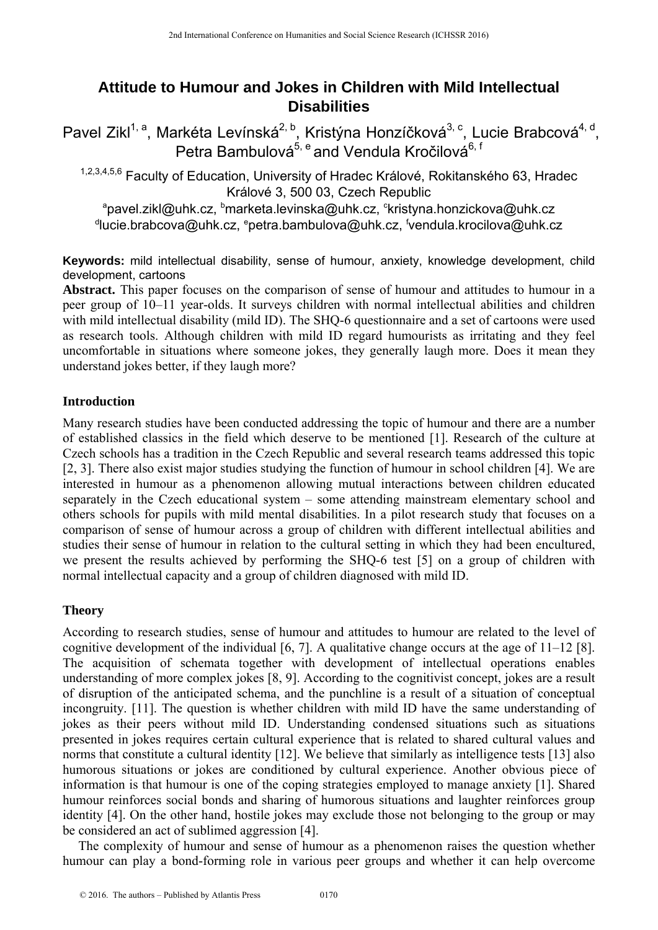# **Attitude to Humour and Jokes in Children with Mild Intellectual Disabilities**

Pavel Zikl<sup>1, a</sup>, Markéta Levínská<sup>2, b</sup>, Kristýna Honzíčková<sup>3, c</sup>, Lucie Brabcová<sup>4, d</sup>, Petra Bambulová<sup>5, e</sup> and Vendula Kročilová<sup>6, f</sup>

1,2,3,4,5,6 Faculty of Education, University of Hradec Králové, Rokitanského 63, Hradec Králové 3, 500 03, Czech Republic<br>pavel.zikl@uhk.cz, <sup>b</sup>marketa.levinska@uhk.cz, <sup>c</sup>kristyna.honzickova@uhk.cz

<sup>d</sup>lucie.brabcova@uhk.cz, <sup>e</sup>petra.bambulova@uhk.cz, <sup>f</sup>vendula.krocilova@uhk.cz

**Keywords:** mild intellectual disability, sense of humour, anxiety, knowledge development, child development, cartoons

**Abstract.** This paper focuses on the comparison of sense of humour and attitudes to humour in a peer group of 10–11 year-olds. It surveys children with normal intellectual abilities and children with mild intellectual disability (mild ID). The SHO-6 questionnaire and a set of cartoons were used as research tools. Although children with mild ID regard humourists as irritating and they feel uncomfortable in situations where someone jokes, they generally laugh more. Does it mean they understand jokes better, if they laugh more?

## **Introduction**

Many research studies have been conducted addressing the topic of humour and there are a number of established classics in the field which deserve to be mentioned [1]. Research of the culture at Czech schools has a tradition in the Czech Republic and several research teams addressed this topic [2, 3]. There also exist major studies studying the function of humour in school children [4]. We are interested in humour as a phenomenon allowing mutual interactions between children educated separately in the Czech educational system – some attending mainstream elementary school and others schools for pupils with mild mental disabilities. In a pilot research study that focuses on a comparison of sense of humour across a group of children with different intellectual abilities and studies their sense of humour in relation to the cultural setting in which they had been encultured, we present the results achieved by performing the SHQ-6 test [5] on a group of children with normal intellectual capacity and a group of children diagnosed with mild ID.

## **Theory**

According to research studies, sense of humour and attitudes to humour are related to the level of cognitive development of the individual [6, 7]. A qualitative change occurs at the age of 11–12 [8]. The acquisition of schemata together with development of intellectual operations enables understanding of more complex jokes [8, 9]. According to the cognitivist concept, jokes are a result of disruption of the anticipated schema, and the punchline is a result of a situation of conceptual incongruity. [11]. The question is whether children with mild ID have the same understanding of jokes as their peers without mild ID. Understanding condensed situations such as situations presented in jokes requires certain cultural experience that is related to shared cultural values and norms that constitute a cultural identity [12]. We believe that similarly as intelligence tests [13] also humorous situations or jokes are conditioned by cultural experience. Another obvious piece of information is that humour is one of the coping strategies employed to manage anxiety [1]. Shared humour reinforces social bonds and sharing of humorous situations and laughter reinforces group identity [4]. On the other hand, hostile jokes may exclude those not belonging to the group or may be considered an act of sublimed aggression [4].

The complexity of humour and sense of humour as a phenomenon raises the question whether humour can play a bond-forming role in various peer groups and whether it can help overcome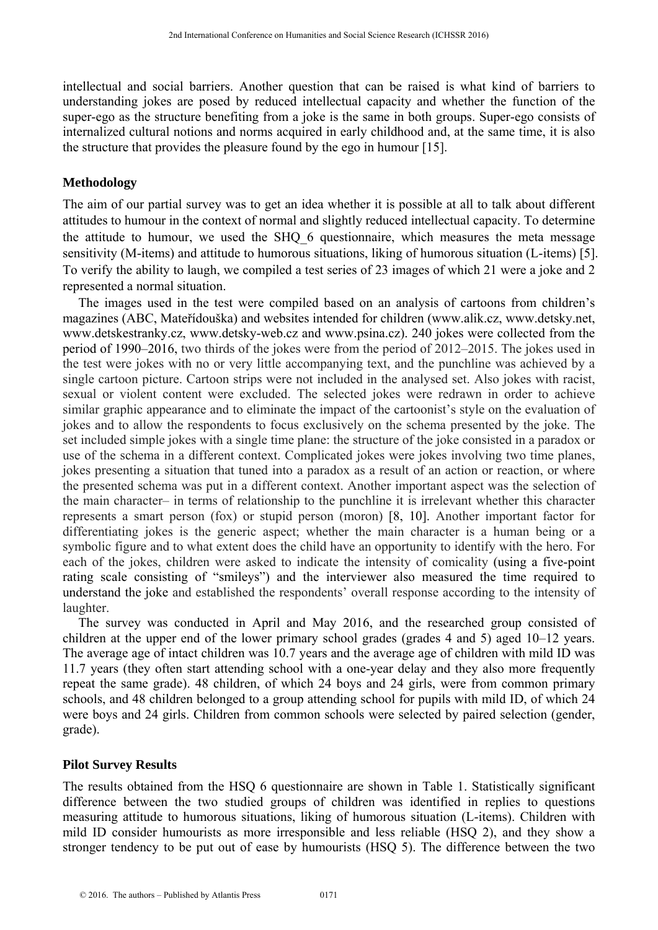intellectual and social barriers. Another question that can be raised is what kind of barriers to understanding jokes are posed by reduced intellectual capacity and whether the function of the super-ego as the structure benefiting from a joke is the same in both groups. Super-ego consists of internalized cultural notions and norms acquired in early childhood and, at the same time, it is also the structure that provides the pleasure found by the ego in humour [15].

#### **Methodology**

The aim of our partial survey was to get an idea whether it is possible at all to talk about different attitudes to humour in the context of normal and slightly reduced intellectual capacity. To determine the attitude to humour, we used the SHQ\_6 questionnaire, which measures the meta message sensitivity (M-items) and attitude to humorous situations, liking of humorous situation (L-items) [5]. To verify the ability to laugh, we compiled a test series of 23 images of which 21 were a joke and 2 represented a normal situation.

The images used in the test were compiled based on an analysis of cartoons from children's magazines (ABC, Mateřídouška) and websites intended for children (www.alik.cz, www.detsky.net, www.detskestranky.cz, www.detsky-web.cz and www.psina.cz). 240 jokes were collected from the period of 1990–2016, two thirds of the jokes were from the period of 2012–2015. The jokes used in the test were jokes with no or very little accompanying text, and the punchline was achieved by a single cartoon picture. Cartoon strips were not included in the analysed set. Also jokes with racist, sexual or violent content were excluded. The selected jokes were redrawn in order to achieve similar graphic appearance and to eliminate the impact of the cartoonist's style on the evaluation of jokes and to allow the respondents to focus exclusively on the schema presented by the joke. The set included simple jokes with a single time plane: the structure of the joke consisted in a paradox or use of the schema in a different context. Complicated jokes were jokes involving two time planes, jokes presenting a situation that tuned into a paradox as a result of an action or reaction, or where the presented schema was put in a different context. Another important aspect was the selection of the main character– in terms of relationship to the punchline it is irrelevant whether this character represents a smart person (fox) or stupid person (moron) [8, 10]. Another important factor for differentiating jokes is the generic aspect; whether the main character is a human being or a symbolic figure and to what extent does the child have an opportunity to identify with the hero. For each of the jokes, children were asked to indicate the intensity of comicality (using a five-point rating scale consisting of "smileys") and the interviewer also measured the time required to understand the joke and established the respondents' overall response according to the intensity of laughter.

The survey was conducted in April and May 2016, and the researched group consisted of children at the upper end of the lower primary school grades (grades 4 and 5) aged 10–12 years. The average age of intact children was 10.7 years and the average age of children with mild ID was 11.7 years (they often start attending school with a one-year delay and they also more frequently repeat the same grade). 48 children, of which 24 boys and 24 girls, were from common primary schools, and 48 children belonged to a group attending school for pupils with mild ID, of which 24 were boys and 24 girls. Children from common schools were selected by paired selection (gender, grade).

#### **Pilot Survey Results**

The results obtained from the HSQ 6 questionnaire are shown in Table 1. Statistically significant difference between the two studied groups of children was identified in replies to questions measuring attitude to humorous situations, liking of humorous situation (L-items). Children with mild ID consider humourists as more irresponsible and less reliable (HSQ 2), and they show a stronger tendency to be put out of ease by humourists (HSQ 5). The difference between the two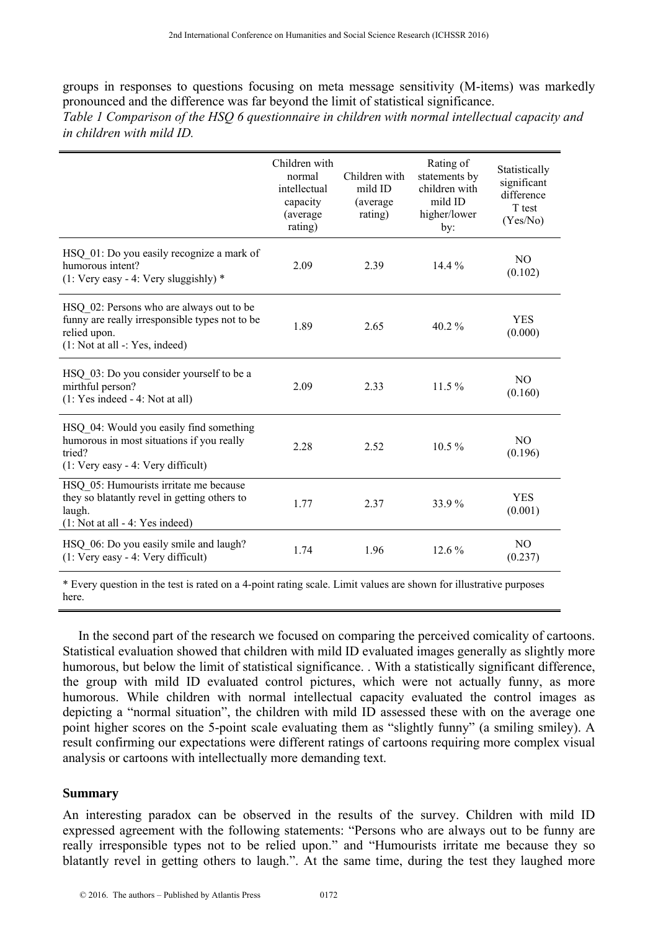groups in responses to questions focusing on meta message sensitivity (M-items) was markedly pronounced and the difference was far beyond the limit of statistical significance. *Table 1 Comparison of the HSQ 6 questionnaire in children with normal intellectual capacity and in children with mild ID.*

|                                                                                                                                                | Children with<br>normal<br>intellectual<br>capacity<br>(average)<br>rating) | Children with<br>mild ID<br>(average)<br>rating) | Rating of<br>statements by<br>children with<br>mild ID<br>higher/lower<br>by: | Statistically<br>significant<br>difference<br>T test<br>(Yes/No) |
|------------------------------------------------------------------------------------------------------------------------------------------------|-----------------------------------------------------------------------------|--------------------------------------------------|-------------------------------------------------------------------------------|------------------------------------------------------------------|
| HSQ 01: Do you easily recognize a mark of<br>humorous intent?<br>$(1: Very easy - 4: Very sluggishly)$ *                                       | 2.09                                                                        | 2.39                                             | $14.4\%$                                                                      | N <sub>O</sub><br>(0.102)                                        |
| HSQ 02: Persons who are always out to be<br>funny are really irresponsible types not to be<br>relied upon.<br>$(1: Not at all -: Yes, indeed)$ | 1.89                                                                        | 2.65                                             | 40.2 $%$                                                                      | <b>YES</b><br>(0.000)                                            |
| HSQ 03: Do you consider yourself to be a<br>mirthful person?<br>$(1: Yes indeed - 4: Not at all)$                                              | 2.09                                                                        | 2.33                                             | $11.5\%$                                                                      | N <sub>O</sub><br>(0.160)                                        |
| HSQ 04: Would you easily find something<br>humorous in most situations if you really<br>tried?<br>$(1: Very easy - 4: Very difficult)$         | 2.28                                                                        | 2.52                                             | $10.5\%$                                                                      | N <sub>O</sub><br>(0.196)                                        |
| HSQ 05: Humourists irritate me because<br>they so blatantly revel in getting others to<br>laugh.<br>$(1: Not at all - 4: Yes indeed)$          | 1.77                                                                        | 2.37                                             | 33.9%                                                                         | <b>YES</b><br>(0.001)                                            |
| HSQ 06: Do you easily smile and laugh?<br>$(1: Very easy - 4: Very difficult)$                                                                 | 1.74                                                                        | 1.96                                             | 12.6 %                                                                        | NO.<br>(0.237)                                                   |

\* Every question in the test is rated on a 4-point rating scale. Limit values are shown for illustrative purposes here.

In the second part of the research we focused on comparing the perceived comicality of cartoons. Statistical evaluation showed that children with mild ID evaluated images generally as slightly more humorous, but below the limit of statistical significance. . With a statistically significant difference, the group with mild ID evaluated control pictures, which were not actually funny, as more humorous. While children with normal intellectual capacity evaluated the control images as depicting a "normal situation", the children with mild ID assessed these with on the average one point higher scores on the 5-point scale evaluating them as "slightly funny" (a smiling smiley). A result confirming our expectations were different ratings of cartoons requiring more complex visual analysis or cartoons with intellectually more demanding text.

#### **Summary**

An interesting paradox can be observed in the results of the survey. Children with mild ID expressed agreement with the following statements: "Persons who are always out to be funny are really irresponsible types not to be relied upon." and "Humourists irritate me because they so blatantly revel in getting others to laugh.". At the same time, during the test they laughed more